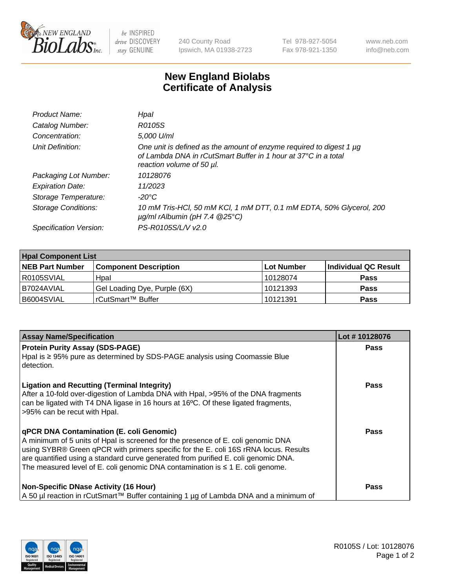

 $be$  INSPIRED drive DISCOVERY stay GENUINE

240 County Road Ipswich, MA 01938-2723 Tel 978-927-5054 Fax 978-921-1350 www.neb.com info@neb.com

## **New England Biolabs Certificate of Analysis**

| Product Name:              | Hpal                                                                                                                                                               |
|----------------------------|--------------------------------------------------------------------------------------------------------------------------------------------------------------------|
| Catalog Number:            | R0105S                                                                                                                                                             |
| Concentration:             | 5.000 U/ml                                                                                                                                                         |
| Unit Definition:           | One unit is defined as the amount of enzyme required to digest 1 µg<br>of Lambda DNA in rCutSmart Buffer in 1 hour at 37°C in a total<br>reaction volume of 50 µl. |
| Packaging Lot Number:      | 10128076                                                                                                                                                           |
| <b>Expiration Date:</b>    | 11/2023                                                                                                                                                            |
| Storage Temperature:       | $-20^{\circ}$ C                                                                                                                                                    |
| <b>Storage Conditions:</b> | 10 mM Tris-HCl, 50 mM KCl, 1 mM DTT, 0.1 mM EDTA, 50% Glycerol, 200<br>$\mu$ g/ml rAlbumin (pH 7.4 $@25^{\circ}$ C)                                                |
| Specification Version:     | PS-R0105S/L/V v2.0                                                                                                                                                 |
|                            |                                                                                                                                                                    |

| <b>Hpal Component List</b> |                              |            |                      |  |  |
|----------------------------|------------------------------|------------|----------------------|--|--|
| <b>NEB Part Number</b>     | <b>Component Description</b> | Lot Number | Individual QC Result |  |  |
| R0105SVIAL                 | Hpal                         | 10128074   | <b>Pass</b>          |  |  |
| B7024AVIAL                 | Gel Loading Dye, Purple (6X) | 10121393   | <b>Pass</b>          |  |  |
| B6004SVIAL                 | rCutSmart™ Buffer            | 10121391   | <b>Pass</b>          |  |  |

| <b>Assay Name/Specification</b>                                                                                                                                                                                                                                                                                                                                                                          | Lot #10128076 |
|----------------------------------------------------------------------------------------------------------------------------------------------------------------------------------------------------------------------------------------------------------------------------------------------------------------------------------------------------------------------------------------------------------|---------------|
| <b>Protein Purity Assay (SDS-PAGE)</b><br>Hpal is $\geq$ 95% pure as determined by SDS-PAGE analysis using Coomassie Blue<br>detection.                                                                                                                                                                                                                                                                  | <b>Pass</b>   |
| <b>Ligation and Recutting (Terminal Integrity)</b><br>After a 10-fold over-digestion of Lambda DNA with Hpal, >95% of the DNA fragments<br>can be ligated with T4 DNA ligase in 16 hours at 16°C. Of these ligated fragments,<br>>95% can be recut with Hpal.                                                                                                                                            | <b>Pass</b>   |
| <b>qPCR DNA Contamination (E. coli Genomic)</b><br>A minimum of 5 units of Hpal is screened for the presence of E. coli genomic DNA<br>using SYBR® Green qPCR with primers specific for the E. coli 16S rRNA locus. Results<br>are quantified using a standard curve generated from purified E. coli genomic DNA.<br>The measured level of E. coli genomic DNA contamination is $\leq 1$ E. coli genome. | <b>Pass</b>   |
| <b>Non-Specific DNase Activity (16 Hour)</b><br>A 50 µl reaction in rCutSmart™ Buffer containing 1 µg of Lambda DNA and a minimum of                                                                                                                                                                                                                                                                     | <b>Pass</b>   |